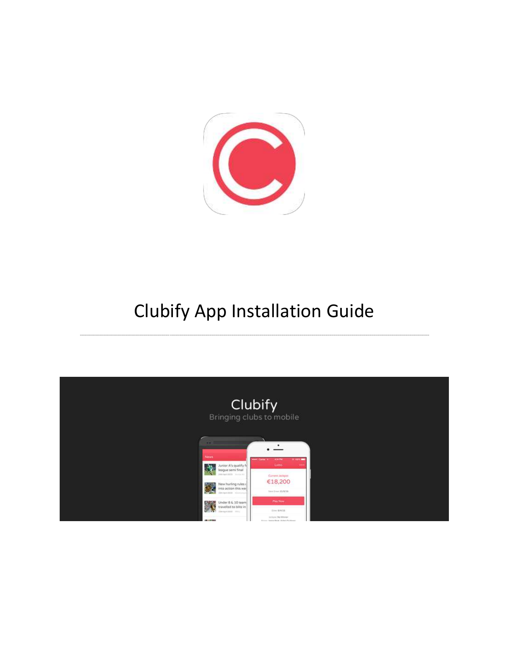

## Clubify App Installation Guide

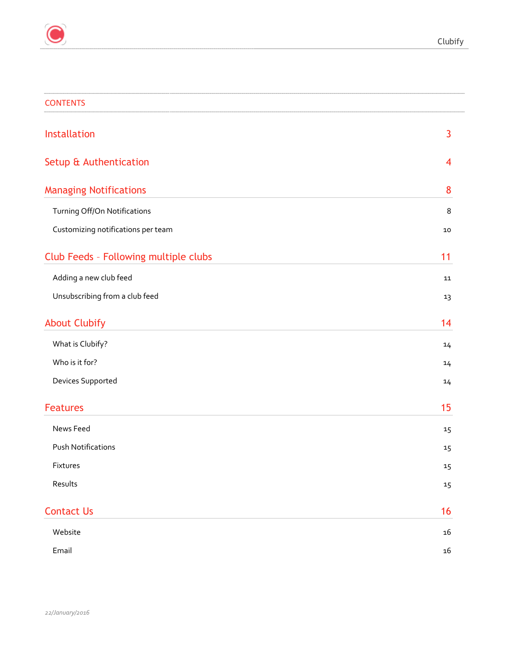| <b>CONTENTS</b>                       |            |
|---------------------------------------|------------|
| Installation                          | 3          |
| Setup & Authentication                | 4          |
| <b>Managing Notifications</b>         | 8          |
| Turning Off/On Notifications          | 8          |
| Customizing notifications per team    | 10         |
| Club Feeds - Following multiple clubs | 11         |
| Adding a new club feed                | 11         |
| Unsubscribing from a club feed        | 13         |
| <b>About Clubify</b>                  | 14         |
| What is Clubify?                      | 14         |
| Who is it for?                        | 14         |
| Devices Supported                     | 14         |
| <b>Features</b>                       | 15         |
| News Feed                             | 15         |
| <b>Push Notifications</b>             | 15         |
| Fixtures                              | $15\,$     |
| Results                               | $15\,$     |
| <b>Contact Us</b>                     | 16         |
| Website                               | ${\bf 16}$ |
| Email                                 | $16\,$     |
|                                       |            |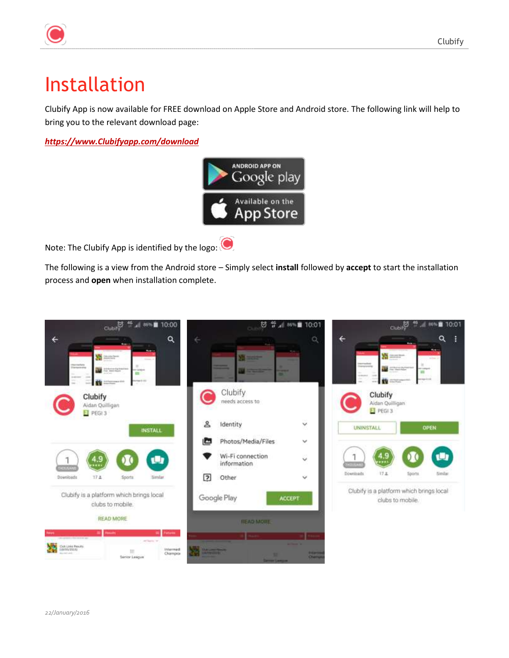# <span id="page-2-0"></span>Installation

Clubify App is now available for FREE download on Apple Store and Android store. The following link will help to bring you to the relevant download page:

*[https://www.Clubifyapp.com/download](https://www.clubifyapp.com/download)*



Note: The Clubify App is identified by the logo:

The following is a view from the Android store – Simply select **install** followed by **accept** to start the installation process and **open** when installation complete.

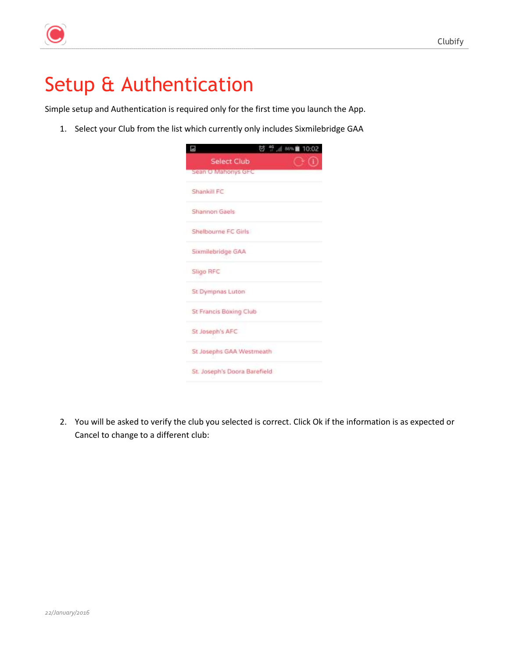

## <span id="page-3-0"></span>Setup & Authentication

Simple setup and Authentication is required only for the first time you launch the App.

1. Select your Club from the list which currently only includes Sixmilebridge GAA

| 10:02<br>⊟<br>U<br>869       |  |
|------------------------------|--|
| Select Club                  |  |
| Sean O Mahonys GFC           |  |
| Shankill FC                  |  |
| Shannon Gaels                |  |
| Shelbourne FC Girls          |  |
| Sixmilebridge GAA            |  |
| Sligo RFC                    |  |
| St Dympnas Luton             |  |
| St Francis Boxing Club       |  |
| St Joseph's AFC              |  |
| St Josephs GAA Westmeath     |  |
| St. Joseph's Doora Barefield |  |

2. You will be asked to verify the club you selected is correct. Click Ok if the information is as expected or Cancel to change to a different club: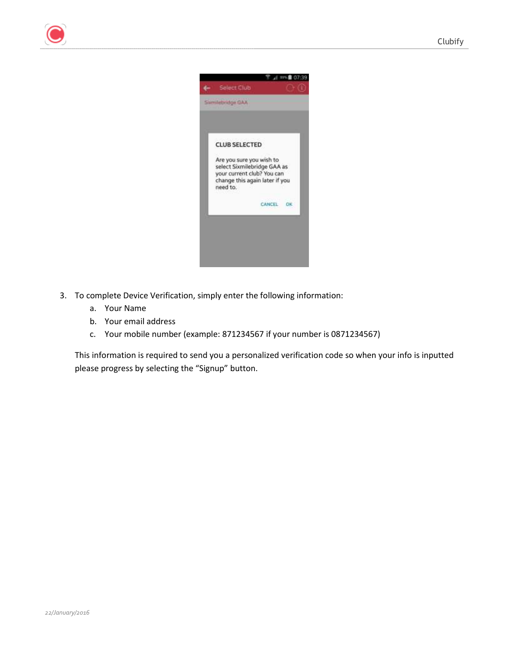

- 3. To complete Device Verification, simply enter the following information:
	- a. Your Name
	- b. Your email address
	- c. Your mobile number (example: 871234567 if your number is 0871234567)

This information is required to send you a personalized verification code so when your info is inputted please progress by selecting the "Signup" button.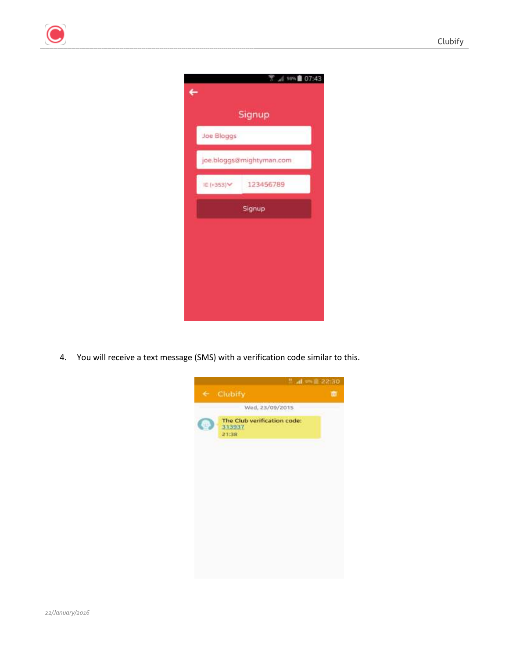

4. You will receive a text message (SMS) with a verification code similar to this.

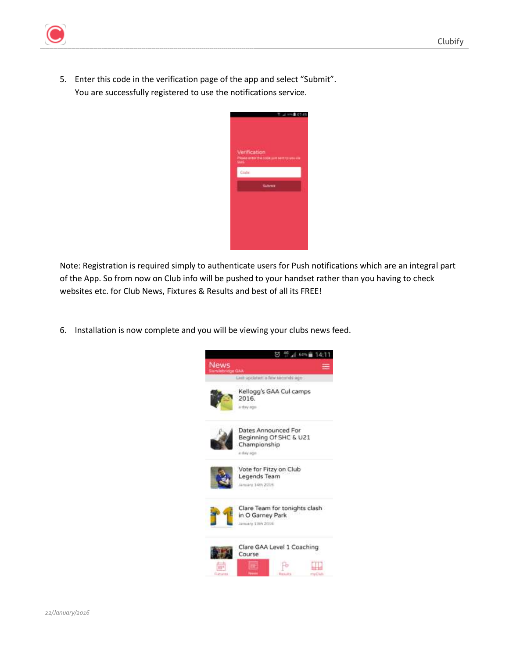

5. Enter this code in the verification page of the app and select "Submit". You are successfully registered to use the notifications service.



Note: Registration is required simply to authenticate users for Push notifications which are an integral part of the App. So from now on Club info will be pushed to your handset rather than you having to check websites etc. for Club News, Fixtures & Results and best of all its FREE!

6. Installation is now complete and you will be viewing your clubs news feed.

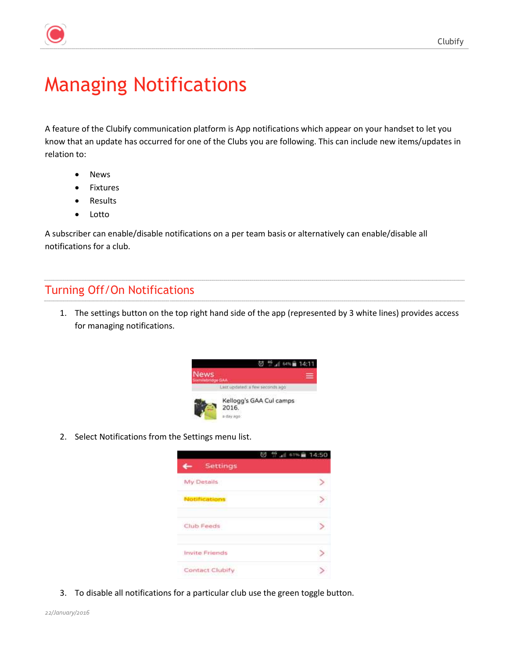

## <span id="page-7-0"></span>Managing Notifications

A feature of the Clubify communication platform is App notifications which appear on your handset to let you know that an update has occurred for one of the Clubs you are following. This can include new items/updates in relation to:

- News
- Fixtures
- Results
- $\bullet$  Lotto

A subscriber can enable/disable notifications on a per team basis or alternatively can enable/disable all notifications for a club.

### <span id="page-7-1"></span>Turning Off/On Notifications

1. The settings button on the top right hand side of the app (represented by 3 white lines) provides access for managing notifications.



2. Select Notifications from the Settings menu list.



3. To disable all notifications for a particular club use the green toggle button.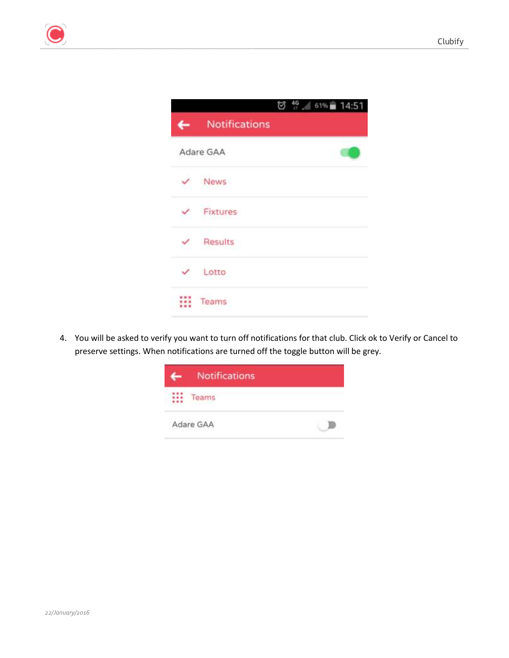



4. You will be asked to verify you want to turn off notifications for that club. Click ok to Verify or Cancel to preserve settings. When notifications are turned off the toggle button will be grey.

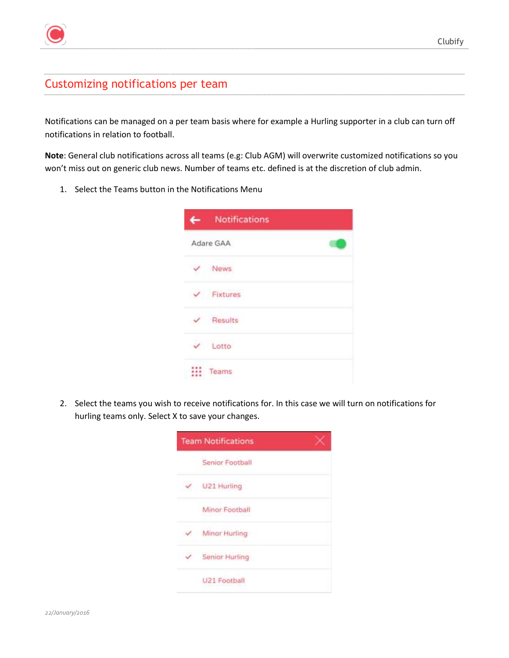### <span id="page-9-0"></span>Customizing notifications per team

Notifications can be managed on a per team basis where for example a Hurling supporter in a club can turn off notifications in relation to football.

**Note**: General club notifications across all teams (e.g: Club AGM) will overwrite customized notifications so you won't miss out on generic club news. Number of teams etc. defined is at the discretion of club admin.

1. Select the Teams button in the Notifications Menu

|              | <b>Notifications</b>  |  |
|--------------|-----------------------|--|
|              | Adare GAA             |  |
|              | News                  |  |
|              | $\checkmark$ Fixtures |  |
|              | Results               |  |
| $\checkmark$ | Lotto                 |  |
|              | Teams                 |  |

2. Select the teams you wish to receive notifications for. In this case we will turn on notifications for hurling teams only. Select X to save your changes.

| <b>Team Notifications</b> |  |
|---------------------------|--|
| Senior Football           |  |
| U21 Hurling               |  |
| Minor Football            |  |
| Minor Hurling             |  |
| <b>Senior Hurling</b>     |  |
| U21 Football              |  |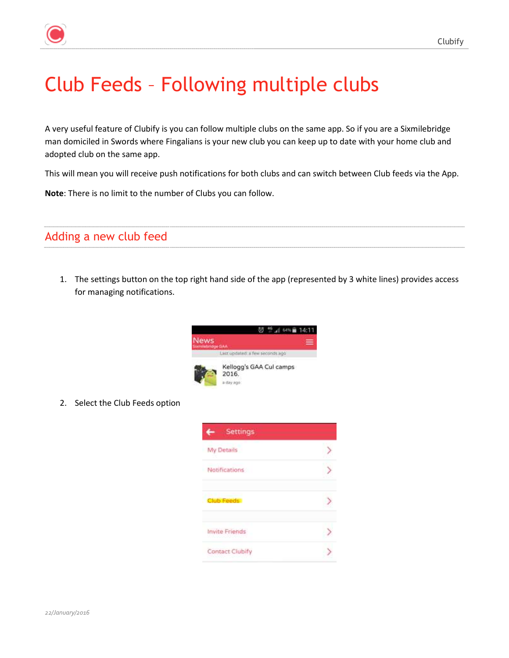# <span id="page-10-0"></span>Club Feeds – Following multiple clubs

A very useful feature of Clubify is you can follow multiple clubs on the same app. So if you are a Sixmilebridge man domiciled in Swords where Fingalians is your new club you can keep up to date with your home club and adopted club on the same app.

This will mean you will receive push notifications for both clubs and can switch between Club feeds via the App.

**Note**: There is no limit to the number of Clubs you can follow.

### <span id="page-10-1"></span>Adding a new club feed

1. The settings button on the top right hand side of the app (represented by 3 white lines) provides access for managing notifications.



2. Select the Club Feeds option

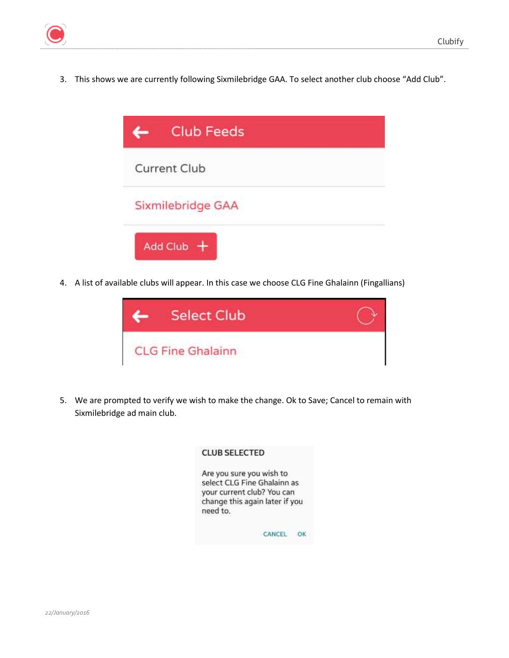3. This shows we are currently following Sixmilebridge GAA. To select another club choose "Add Club".



4. A list of available clubs will appear. In this case we choose CLG Fine Ghalainn (Fingallians)



5. We are prompted to verify we wish to make the change. Ok to Save; Cancel to remain with Sixmilebridge ad main club.

|          | Are you sure you wish to       |
|----------|--------------------------------|
|          | select CLG Fine Ghalainn as    |
|          | your current club? You can     |
|          | change this again later if you |
| need to. |                                |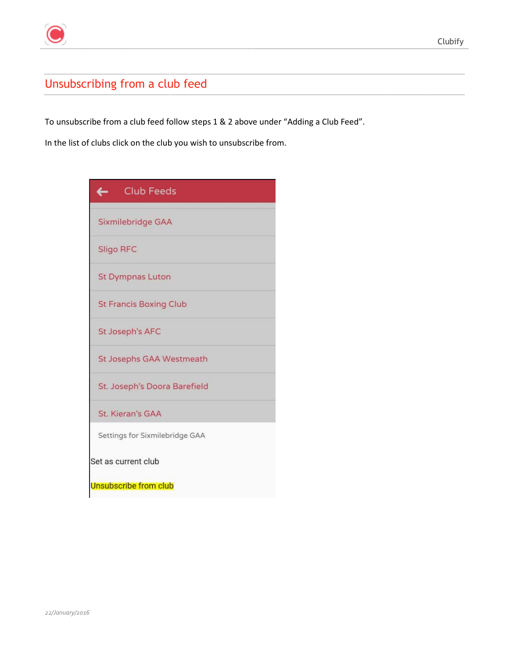

## <span id="page-12-0"></span>Unsubscribing from a club feed

To unsubscribe from a club feed follow steps 1 & 2 above under "Adding a Club Feed".

In the list of clubs click on the club you wish to unsubscribe from.

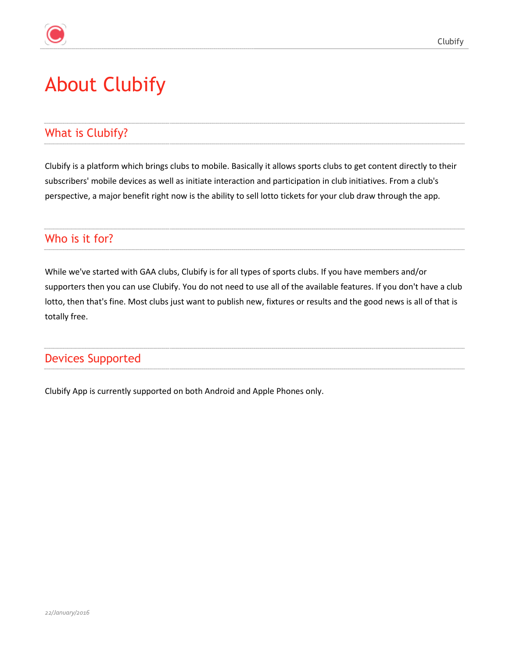## <span id="page-13-0"></span>About Clubify

### <span id="page-13-1"></span>What is Clubify?

Clubify is a platform which brings clubs to mobile. Basically it allows sports clubs to get content directly to their subscribers' mobile devices as well as initiate interaction and participation in club initiatives. From a club's perspective, a major benefit right now is the ability to sell lotto tickets for your club draw through the app.

### <span id="page-13-2"></span>Who is it for?

While we've started with GAA clubs, Clubify is for all types of sports clubs. If you have members and/or supporters then you can use Clubify. You do not need to use all of the available features. If you don't have a club lotto, then that's fine. Most clubs just want to publish new, fixtures or results and the good news is all of that is totally free.

### <span id="page-13-3"></span>Devices Supported

Clubify App is currently supported on both Android and Apple Phones only.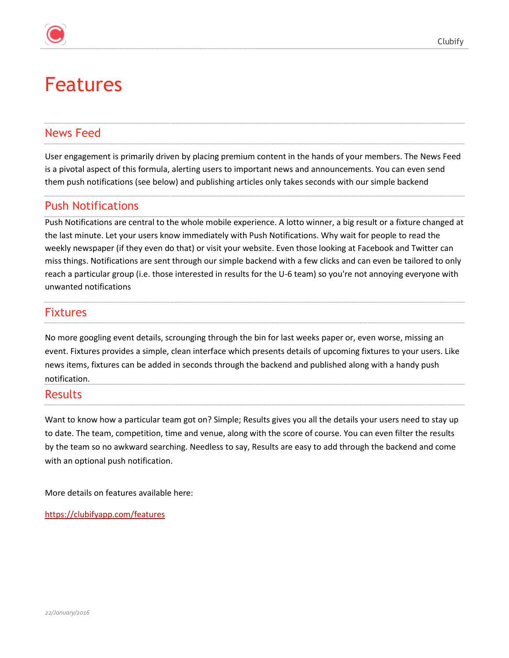## <span id="page-14-0"></span>Features

### <span id="page-14-1"></span>News Feed

User engagement is primarily driven by placing premium content in the hands of your members. The News Feed is a pivotal aspect of this formula, alerting users to important news and announcements. You can even send them push notifications (see below) and publishing articles only takes seconds with our simple backend

### <span id="page-14-2"></span>Push Notifications

Push Notifications are central to the whole mobile experience. A lotto winner, a big result or a fixture changed at the last minute. Let your users know immediately with Push Notifications. Why wait for people to read the weekly newspaper (if they even do that) or visit your website. Even those looking at Facebook and Twitter can miss things. Notifications are sent through our simple backend with a few clicks and can even be tailored to only reach a particular group (i.e. those interested in results for the U-6 team) so you're not annoying everyone with unwanted notifications

### <span id="page-14-3"></span>Fixtures

No more googling event details, scrounging through the bin for last weeks paper or, even worse, missing an event. Fixtures provides a simple, clean interface which presents details of upcoming fixtures to your users. Like news items, fixtures can be added in seconds through the backend and published along with a handy push notification.

#### <span id="page-14-4"></span>Results

Want to know how a particular team got on? Simple; Results gives you all the details your users need to stay up to date. The team, competition, time and venue, along with the score of course. You can even filter the results by the team so no awkward searching. Needless to say, Results are easy to add through the backend and come with an optional push notification.

More details on features available here:

<https://clubifyapp.com/features>